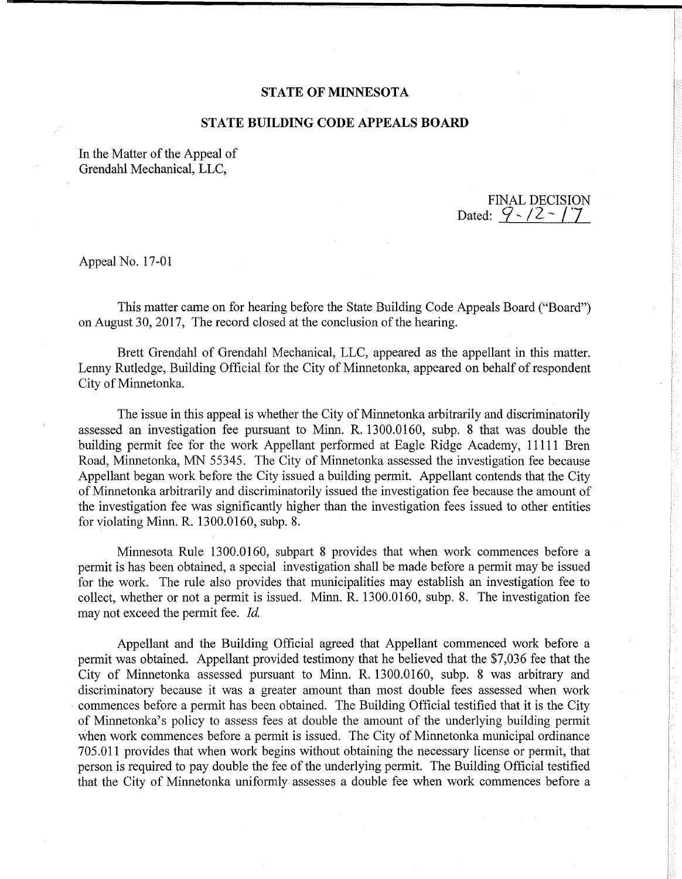## **STATE OF MINNESOTA**

## **STATE BUILDING CODE APPEALS BOARD**

In the Matter of the Appeal of Grendahl Mechanical, LLC,

FINAL DECISION Dated:  $9 - 12 - 17$ 

Appeal No. 17-01

This matter came on for hearing before the State Building Code Appeals Board ("Board") on August 30, 2017, The record closed at the conclusion of the hearing.

Brett Grendahl of Grendahl Mechanical, LLC, appeared as the appellant in this matter. Lenny Rutledge, Building Official for the City of Minnetonka, appeared on behalf of respondent City of Minnetonka.

The issue in this appeal is whether the City of Minnetonka arbitrarily and discriminatorily assessed an investigation fee pursuant to Minn. R. 1300.0160, subp. 8 that was double the building permit fee for the work Appellant performed at Eagle Ridge Academy, 11111 Bren Road, Minnetonka, MN 55345. The City of Minnetonka assessed the investigation fee because Appellant began work before the City issued a building permit. Appellant contends that the City of Minnetonka arbitrarily and discriminatorily issued the investigation fee because the amount of the investigation fee was significantly higher than the investigation fees issued to other entities for violating Minn. R. 1300.0160, subp. 8.

Minnesota Rule 1300.0160, subpart 8 provides that when work commences before a permit is has been obtained, a special investigation shall be made before a permit may be issued for the work. The rule also provides that municipalities may establish an investigation fee to collect, whether or not a permit is issued. Minn. R. 1300.0160, subp. 8. The investigation fee may not exceed the permit fee. *Id* 

Appellant and the Building Official agreed that Appellant commenced work before a permit was obtained. Appellant provided testimony that he believed that the \$7,036 fee that the City of Minnetonka assessed pursuant to Minn. R. 1300.0160, subp. 8 was arbitrary and discriminatory because it was a greater amount than most double fees assessed when work • commences before a permit has been obtained. The Building Official testified that it is the City of Minnetonka's policy to assess fees at double the amount of the underlying building permit when work commences before a permit is issued. The City of Minnetonka municipal ordinance 705.011 provides that when work begins without obtaining the necessary license or permit, that person is required to pay double the fee of the underlying permit. The Building Official testified that the City of Minnetonka uniformly assesses a double fee when work commences before a